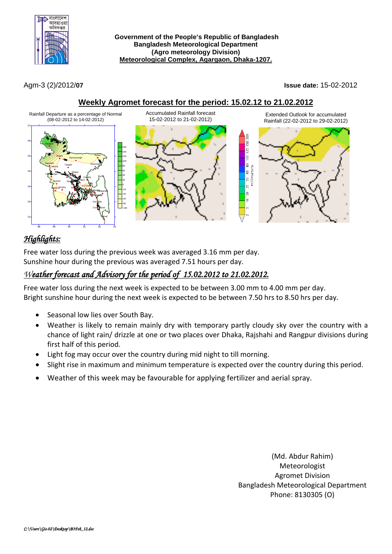

Agm-3 (2)/2012/**07 Issue date:** 15-02-2012

**Weekly Agromet forecast for the period: 15.02.12 to 21.02.2012**



# *Highlights:*

Free water loss during the previous week was averaged 3.16 mm per day. Sunshine hour during the previous was averaged 7.51 hours per day.

# *Weather forecast and Advisory for the period of 15.02.2012 to 21.02.2012.*

Free water loss during the next week is expected to be between 3.00 mm to 4.00 mm per day. Bright sunshine hour during the next week is expected to be between 7.50 hrs to 8.50 hrs per day.

- Seasonal low lies over South Bay.
- Weather is likely to remain mainly dry with temporary partly cloudy sky over the country with a chance of light rain/ drizzle at one or two places over Dhaka, Rajshahi and Rangpur divisions during first half of this period.
- Light fog may occur over the country during mid night to till morning.
- Slight rise in maximum and minimum temperature is expected over the country during this period.
- Weather of this week may be favourable for applying fertilizer and aerial spray.

(Md. Abdur Rahim) Meteorologist Agromet Division Bangladesh Meteorological Department Phone: 8130305 (O)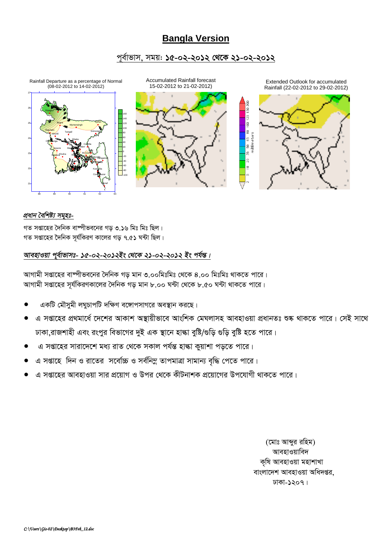# **Bangla Version**

## পূর্বাভাস, সময়: ১৫-০২-২০১২ থেকে ২১-০২-২০১২



## প্ৰধান বৈশিষ্ট্য সমূহঃ-

গত সপ্তাহের দৈনিক বাম্পীভবনের গড় ৩.১৬ মিঃ মিঃ ছিল। গত সপ্তাহের দৈনিক সূর্যকিরণ কালের গড় ৭.৫১ ঘন্টা ছিল।

## আবহাওয়া পূর্বাভাসঃ- ১৫-০২-২০১২ইং থেকে ২১-০২-২০১২ ইং পর্যন্ত।

আগামী সপ্তাহের বাষ্পীভবনের দৈনিক গড় মান ৩.০০মিঃমিঃ থেকে ৪.০০ মিঃমিঃ থাকতে পারে। আগামী সপ্তাহের সূর্যকিরণকালের দৈনিক গড় মান ৮.০০ ঘন্টা থেকে ৮.৫০ ঘন্টা থাকতে পারে।

- একটি মৌসুমী লঘুচাপটি দক্ষিণ বঙ্গোপসাগরে অবস্থান করছে।
- এ সপ্তাহের প্রথমার্ধে দেশের আকাশ অস্থায়ীভাবে আংশিক মেঘলাসহ আবহাওয়া প্রধানতঃ শুষ্ক থাকতে পারে। সেই সাথে ঢাকা,রাজশাহী এবং রংপুর বিভাগের দুই এক স্থানে হাঙ্কা বুষ্টি/গুড়ি গুড়ি বুষ্টি হতে পারে।
- এ সপ্তাহের সারাদেশে মধ্য রাত থেকে সকাল পর্যন্ত হাঙ্কা কুয়াশা পড়তে পারে।
- এ সপ্তাহে দিন ও রাতের সর্বোচ্চ ও সর্বনিম্ন তাপমাত্রা সামান্য বৃদ্ধি পেতে পারে।
- এ সপ্তাহের আবহাওয়া সার প্রয়োগ ও উপর থেকে কীটনাশক প্রয়োগের উপযোগী থাকতে পারে।

(মোঃ আন্দুর রহিম) আবহাওয়াবিদ কৃষি আবহাওয়া মহাশাখা বাংলাদেশ আবহাওয়া অধিদপ্তর. ঢাকা-১২০৭।